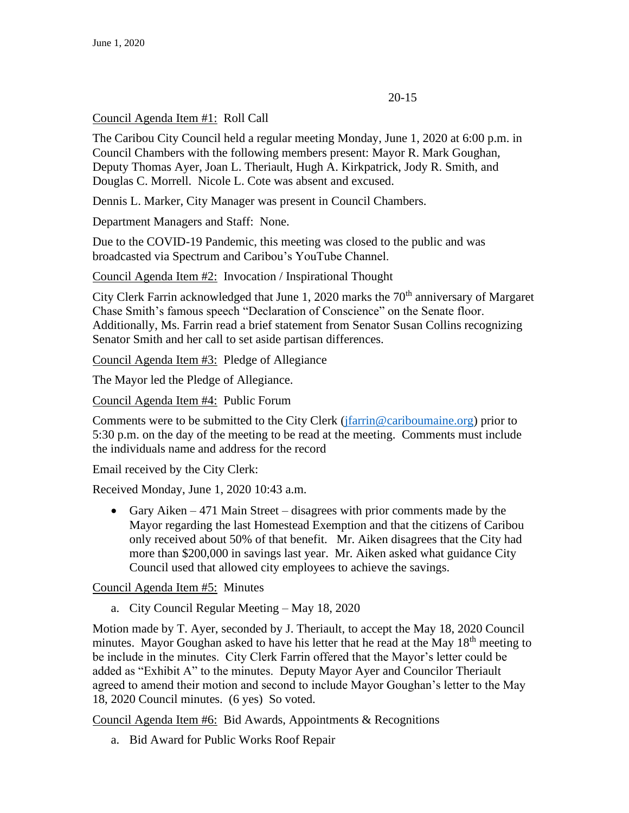## 20-15

## Council Agenda Item #1: Roll Call

The Caribou City Council held a regular meeting Monday, June 1, 2020 at 6:00 p.m. in Council Chambers with the following members present: Mayor R. Mark Goughan, Deputy Thomas Ayer, Joan L. Theriault, Hugh A. Kirkpatrick, Jody R. Smith, and Douglas C. Morrell. Nicole L. Cote was absent and excused.

Dennis L. Marker, City Manager was present in Council Chambers.

Department Managers and Staff: None.

Due to the COVID-19 Pandemic, this meeting was closed to the public and was broadcasted via Spectrum and Caribou's YouTube Channel.

Council Agenda Item #2: Invocation / Inspirational Thought

City Clerk Farrin acknowledged that June 1, 2020 marks the  $70<sup>th</sup>$  anniversary of Margaret Chase Smith's famous speech "Declaration of Conscience" on the Senate floor. Additionally, Ms. Farrin read a brief statement from Senator Susan Collins recognizing Senator Smith and her call to set aside partisan differences.

Council Agenda Item #3: Pledge of Allegiance

The Mayor led the Pledge of Allegiance.

Council Agenda Item #4: Public Forum

Comments were to be submitted to the City Clerk (*jfarrin@cariboumaine.org*) prior to 5:30 p.m. on the day of the meeting to be read at the meeting. Comments must include the individuals name and address for the record

Email received by the City Clerk:

Received Monday, June 1, 2020 10:43 a.m.

• Gary Aiken – 471 Main Street – disagrees with prior comments made by the Mayor regarding the last Homestead Exemption and that the citizens of Caribou only received about 50% of that benefit. Mr. Aiken disagrees that the City had more than \$200,000 in savings last year. Mr. Aiken asked what guidance City Council used that allowed city employees to achieve the savings.

Council Agenda Item #5: Minutes

a. City Council Regular Meeting – May 18, 2020

Motion made by T. Ayer, seconded by J. Theriault, to accept the May 18, 2020 Council minutes. Mayor Goughan asked to have his letter that he read at the May  $18<sup>th</sup>$  meeting to be include in the minutes. City Clerk Farrin offered that the Mayor's letter could be added as "Exhibit A" to the minutes. Deputy Mayor Ayer and Councilor Theriault agreed to amend their motion and second to include Mayor Goughan's letter to the May 18, 2020 Council minutes. (6 yes) So voted.

Council Agenda Item #6: Bid Awards, Appointments & Recognitions

a. Bid Award for Public Works Roof Repair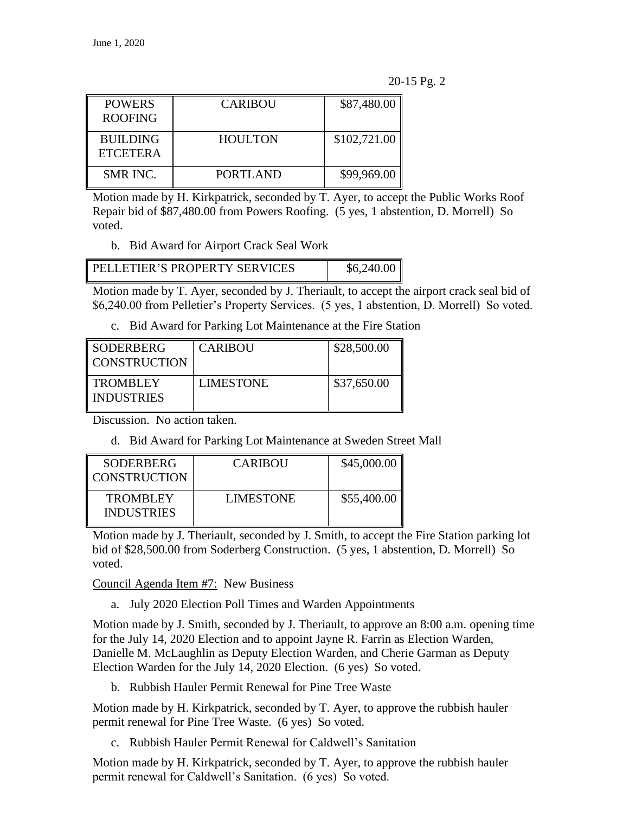| <b>POWERS</b><br><b>ROOFING</b>    | <b>CARIBOU</b>  | \$87,480.00  |
|------------------------------------|-----------------|--------------|
| <b>BUILDING</b><br><b>ETCETERA</b> | <b>HOULTON</b>  | \$102,721.00 |
| <b>SMR INC.</b>                    | <b>PORTLAND</b> | \$99,969.00  |

Motion made by H. Kirkpatrick, seconded by T. Ayer, to accept the Public Works Roof Repair bid of \$87,480.00 from Powers Roofing. (5 yes, 1 abstention, D. Morrell) So voted.

b. Bid Award for Airport Crack Seal Work

| PELLETIER'S PROPERTY SERVICES | \$6,240.00 |
|-------------------------------|------------|
|                               |            |

Motion made by T. Ayer, seconded by J. Theriault, to accept the airport crack seal bid of \$6,240.00 from Pelletier's Property Services. (5 yes, 1 abstention, D. Morrell) So voted.

c. Bid Award for Parking Lot Maintenance at the Fire Station

| SODERBERG<br>   CONSTRUCTION    | <b>CARIBOU</b>   | \$28,500.00 |
|---------------------------------|------------------|-------------|
| <b>TROMBLEY</b><br>I INDUSTRIES | <b>LIMESTONE</b> | \$37,650.00 |

Discussion. No action taken.

d. Bid Award for Parking Lot Maintenance at Sweden Street Mall

| SODERBERG<br><b>CONSTRUCTION</b>     | <b>CARIBOU</b>   | \$45,000.00 |
|--------------------------------------|------------------|-------------|
| <b>TROMBLEY</b><br><b>INDUSTRIES</b> | <b>LIMESTONE</b> | \$55,400.00 |

Motion made by J. Theriault, seconded by J. Smith, to accept the Fire Station parking lot bid of \$28,500.00 from Soderberg Construction. (5 yes, 1 abstention, D. Morrell) So voted.

Council Agenda Item #7: New Business

a. July 2020 Election Poll Times and Warden Appointments

Motion made by J. Smith, seconded by J. Theriault, to approve an 8:00 a.m. opening time for the July 14, 2020 Election and to appoint Jayne R. Farrin as Election Warden, Danielle M. McLaughlin as Deputy Election Warden, and Cherie Garman as Deputy Election Warden for the July 14, 2020 Election. (6 yes) So voted.

b. Rubbish Hauler Permit Renewal for Pine Tree Waste

Motion made by H. Kirkpatrick, seconded by T. Ayer, to approve the rubbish hauler permit renewal for Pine Tree Waste. (6 yes) So voted.

c. Rubbish Hauler Permit Renewal for Caldwell's Sanitation

Motion made by H. Kirkpatrick, seconded by T. Ayer, to approve the rubbish hauler permit renewal for Caldwell's Sanitation. (6 yes) So voted.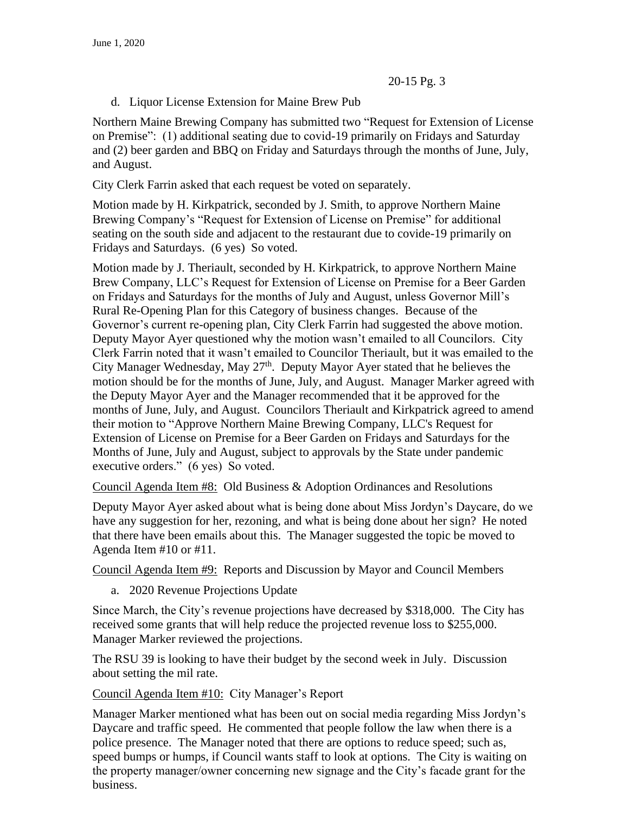d. Liquor License Extension for Maine Brew Pub

Northern Maine Brewing Company has submitted two "Request for Extension of License on Premise": (1) additional seating due to covid-19 primarily on Fridays and Saturday and (2) beer garden and BBQ on Friday and Saturdays through the months of June, July, and August.

City Clerk Farrin asked that each request be voted on separately.

Motion made by H. Kirkpatrick, seconded by J. Smith, to approve Northern Maine Brewing Company's "Request for Extension of License on Premise" for additional seating on the south side and adjacent to the restaurant due to covide-19 primarily on Fridays and Saturdays. (6 yes) So voted.

Motion made by J. Theriault, seconded by H. Kirkpatrick, to approve Northern Maine Brew Company, LLC's Request for Extension of License on Premise for a Beer Garden on Fridays and Saturdays for the months of July and August, unless Governor Mill's Rural Re-Opening Plan for this Category of business changes. Because of the Governor's current re-opening plan, City Clerk Farrin had suggested the above motion. Deputy Mayor Ayer questioned why the motion wasn't emailed to all Councilors. City Clerk Farrin noted that it wasn't emailed to Councilor Theriault, but it was emailed to the City Manager Wednesday, May  $27<sup>th</sup>$ . Deputy Mayor Ayer stated that he believes the motion should be for the months of June, July, and August. Manager Marker agreed with the Deputy Mayor Ayer and the Manager recommended that it be approved for the months of June, July, and August. Councilors Theriault and Kirkpatrick agreed to amend their motion to "Approve Northern Maine Brewing Company, LLC's Request for Extension of License on Premise for a Beer Garden on Fridays and Saturdays for the Months of June, July and August, subject to approvals by the State under pandemic executive orders." (6 yes) So voted.

Council Agenda Item #8: Old Business & Adoption Ordinances and Resolutions

Deputy Mayor Ayer asked about what is being done about Miss Jordyn's Daycare, do we have any suggestion for her, rezoning, and what is being done about her sign? He noted that there have been emails about this. The Manager suggested the topic be moved to Agenda Item #10 or #11.

Council Agenda Item #9: Reports and Discussion by Mayor and Council Members

a. 2020 Revenue Projections Update

Since March, the City's revenue projections have decreased by \$318,000. The City has received some grants that will help reduce the projected revenue loss to \$255,000. Manager Marker reviewed the projections.

The RSU 39 is looking to have their budget by the second week in July. Discussion about setting the mil rate.

Council Agenda Item #10: City Manager's Report

Manager Marker mentioned what has been out on social media regarding Miss Jordyn's Daycare and traffic speed. He commented that people follow the law when there is a police presence. The Manager noted that there are options to reduce speed; such as, speed bumps or humps, if Council wants staff to look at options. The City is waiting on the property manager/owner concerning new signage and the City's facade grant for the business.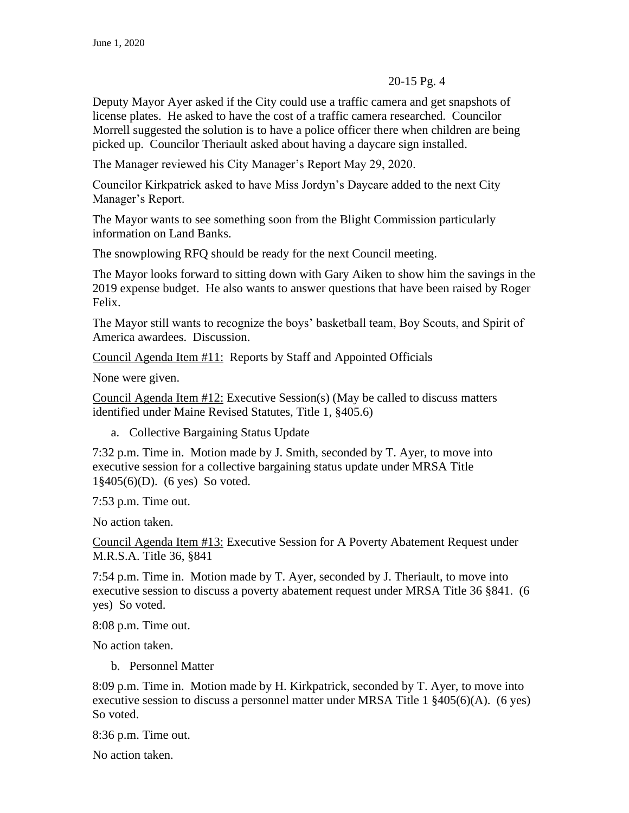Deputy Mayor Ayer asked if the City could use a traffic camera and get snapshots of license plates. He asked to have the cost of a traffic camera researched. Councilor Morrell suggested the solution is to have a police officer there when children are being picked up. Councilor Theriault asked about having a daycare sign installed.

The Manager reviewed his City Manager's Report May 29, 2020.

Councilor Kirkpatrick asked to have Miss Jordyn's Daycare added to the next City Manager's Report.

The Mayor wants to see something soon from the Blight Commission particularly information on Land Banks.

The snowplowing RFQ should be ready for the next Council meeting.

The Mayor looks forward to sitting down with Gary Aiken to show him the savings in the 2019 expense budget. He also wants to answer questions that have been raised by Roger Felix.

The Mayor still wants to recognize the boys' basketball team, Boy Scouts, and Spirit of America awardees. Discussion.

Council Agenda Item #11: Reports by Staff and Appointed Officials

None were given.

Council Agenda Item #12: Executive Session(s) (May be called to discuss matters identified under Maine Revised Statutes, Title 1, §405.6)

a. Collective Bargaining Status Update

7:32 p.m. Time in. Motion made by J. Smith, seconded by T. Ayer, to move into executive session for a collective bargaining status update under MRSA Title 1§405(6)(D). (6 yes) So voted.

7:53 p.m. Time out.

No action taken.

Council Agenda Item #13: Executive Session for A Poverty Abatement Request under M.R.S.A. Title 36, §841

7:54 p.m. Time in. Motion made by T. Ayer, seconded by J. Theriault, to move into executive session to discuss a poverty abatement request under MRSA Title 36 §841. (6 yes) So voted.

8:08 p.m. Time out.

No action taken.

b. Personnel Matter

8:09 p.m. Time in. Motion made by H. Kirkpatrick, seconded by T. Ayer, to move into executive session to discuss a personnel matter under MRSA Title 1 §405(6)(A). (6 yes) So voted.

8:36 p.m. Time out.

No action taken.